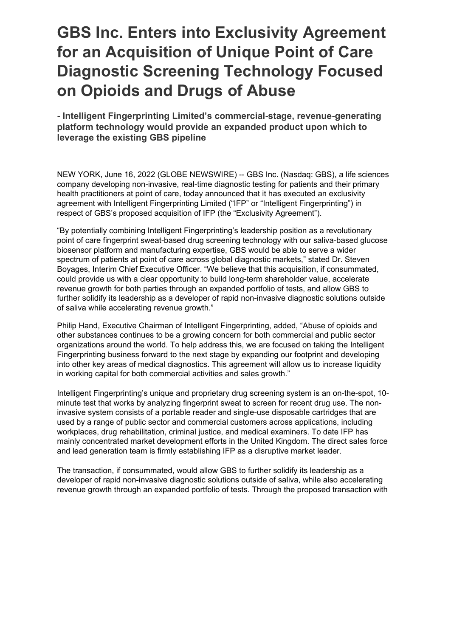# **GBS Inc. Enters into Exclusivity Agreement for an Acquisition of Unique Point of Care Diagnostic Screening Technology Focused on Opioids and Drugs of Abuse**

**- Intelligent Fingerprinting Limited's commercial-stage, revenue-generating platform technology would provide an expanded product upon which to leverage the existing GBS pipeline**

NEW YORK, June 16, 2022 (GLOBE NEWSWIRE) -- GBS Inc. (Nasdaq: GBS), a life sciences company developing non-invasive, real-time diagnostic testing for patients and their primary health practitioners at point of care, today announced that it has executed an exclusivity agreement with Intelligent Fingerprinting Limited ("IFP" or "Intelligent Fingerprinting") in respect of GBS's proposed acquisition of IFP (the "Exclusivity Agreement").

"By potentially combining Intelligent Fingerprinting's leadership position as a revolutionary point of care fingerprint sweat-based drug screening technology with our saliva-based glucose biosensor platform and manufacturing expertise, GBS would be able to serve a wider spectrum of patients at point of care across global diagnostic markets," stated Dr. Steven Boyages, Interim Chief Executive Officer. "We believe that this acquisition, if consummated, could provide us with a clear opportunity to build long-term shareholder value, accelerate revenue growth for both parties through an expanded portfolio of tests, and allow GBS to further solidify its leadership as a developer of rapid non-invasive diagnostic solutions outside of saliva while accelerating revenue growth."

Philip Hand, Executive Chairman of Intelligent Fingerprinting, added, "Abuse of opioids and other substances continues to be a growing concern for both commercial and public sector organizations around the world. To help address this, we are focused on taking the Intelligent Fingerprinting business forward to the next stage by expanding our footprint and developing into other key areas of medical diagnostics. This agreement will allow us to increase liquidity in working capital for both commercial activities and sales growth."

Intelligent Fingerprinting's unique and proprietary drug screening system is an on-the-spot, 10 minute test that works by analyzing fingerprint sweat to screen for recent drug use. The noninvasive system consists of a portable reader and single-use disposable cartridges that are used by a range of public sector and commercial customers across applications, including workplaces, drug rehabilitation, criminal justice, and medical examiners. To date IFP has mainly concentrated market development efforts in the United Kingdom. The direct sales force and lead generation team is firmly establishing IFP as a disruptive market leader.

The transaction, if consummated, would allow GBS to further solidify its leadership as a developer of rapid non-invasive diagnostic solutions outside of saliva, while also accelerating revenue growth through an expanded portfolio of tests. Through the proposed transaction with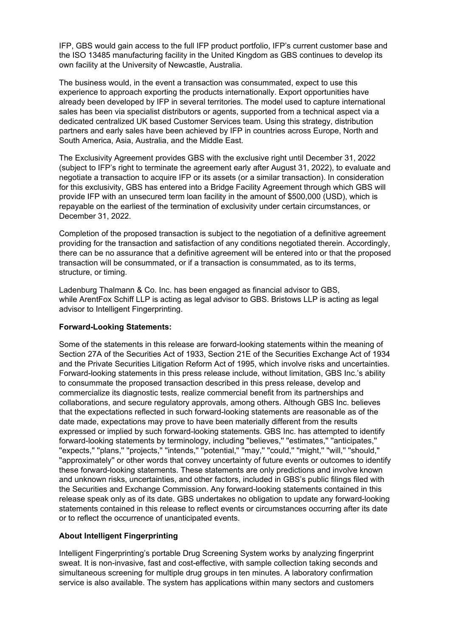IFP, GBS would gain access to the full IFP product portfolio, IFP's current customer base and the ISO 13485 manufacturing facility in the United Kingdom as GBS continues to develop its own facility at the University of Newcastle, Australia.

The business would, in the event a transaction was consummated, expect to use this experience to approach exporting the products internationally. Export opportunities have already been developed by IFP in several territories. The model used to capture international sales has been via specialist distributors or agents, supported from a technical aspect via a dedicated centralized UK based Customer Services team. Using this strategy, distribution partners and early sales have been achieved by IFP in countries across Europe, North and South America, Asia, Australia, and the Middle East.

The Exclusivity Agreement provides GBS with the exclusive right until December 31, 2022 (subject to IFP's right to terminate the agreement early after August 31, 2022), to evaluate and negotiate a transaction to acquire IFP or its assets (or a similar transaction). In consideration for this exclusivity, GBS has entered into a Bridge Facility Agreement through which GBS will provide IFP with an unsecured term loan facility in the amount of \$500,000 (USD), which is repayable on the earliest of the termination of exclusivity under certain circumstances, or December 31, 2022.

Completion of the proposed transaction is subject to the negotiation of a definitive agreement providing for the transaction and satisfaction of any conditions negotiated therein. Accordingly, there can be no assurance that a definitive agreement will be entered into or that the proposed transaction will be consummated, or if a transaction is consummated, as to its terms, structure, or timing.

Ladenburg Thalmann & Co. Inc. has been engaged as financial advisor to GBS, while ArentFox Schiff LLP is acting as legal advisor to GBS. Bristows LLP is acting as legal advisor to Intelligent Fingerprinting.

## **Forward-Looking Statements:**

Some of the statements in this release are forward-looking statements within the meaning of Section 27A of the Securities Act of 1933, Section 21E of the Securities Exchange Act of 1934 and the Private Securities Litigation Reform Act of 1995, which involve risks and uncertainties. Forward-looking statements in this press release include, without limitation, GBS Inc.'s ability to consummate the proposed transaction described in this press release, develop and commercialize its diagnostic tests, realize commercial benefit from its partnerships and collaborations, and secure regulatory approvals, among others. Although GBS Inc. believes that the expectations reflected in such forward-looking statements are reasonable as of the date made, expectations may prove to have been materially different from the results expressed or implied by such forward-looking statements. GBS Inc. has attempted to identify forward-looking statements by terminology, including ''believes,'' ''estimates,'' ''anticipates,'' ''expects,'' ''plans,'' ''projects,'' ''intends,'' ''potential,'' ''may,'' ''could,'' ''might,'' ''will,'' ''should,'' ''approximately'' or other words that convey uncertainty of future events or outcomes to identify these forward-looking statements. These statements are only predictions and involve known and unknown risks, uncertainties, and other factors, included in GBS's public filings filed with the Securities and Exchange Commission. Any forward-looking statements contained in this release speak only as of its date. GBS undertakes no obligation to update any forward-looking statements contained in this release to reflect events or circumstances occurring after its date or to reflect the occurrence of unanticipated events.

## **About Intelligent Fingerprinting**

Intelligent Fingerprinting's portable Drug Screening System works by analyzing fingerprint sweat. It is non-invasive, fast and cost-effective, with sample collection taking seconds and simultaneous screening for multiple drug groups in ten minutes. A laboratory confirmation service is also available. The system has applications within many sectors and customers